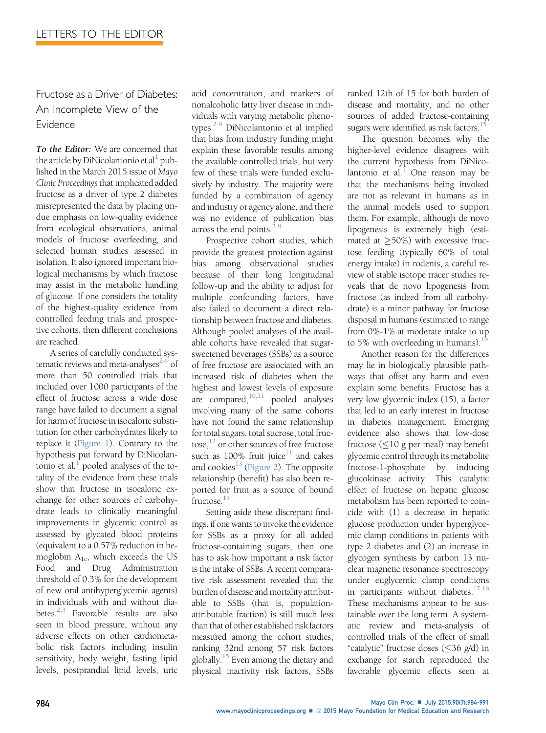# Fructose as a Driver of Diabetes: An Incomplete View of the Evidence

To the Editor: We are concerned that the article by DiNicolantonio et al $^{1}$  $^{1}$  $^{1}$  published in the March 2015 issue of Mayo Clinic Proceedings that implicated added fructose as a driver of type 2 diabetes misrepresented the data by placing undue emphasis on low-quality evidence from ecological observations, animal models of fructose overfeeding, and selected human studies assessed in isolation. It also ignored important biological mechanisms by which fructose may assist in the metabolic handling of glucose. If one considers the totality of the highest-quality evidence from controlled feeding trials and prospective cohorts, then different conclusions are reached.

A series of carefully conducted systematic reviews and meta-analyses $2-9$  of more than 50 controlled trials that included over 1000 participants of the effect of fructose across a wide dose range have failed to document a signal for harm of fructose in isocaloric substitution for other carbohydrates likely to replace it ([Figure 1](#page-1-0)). Contrary to the hypothesis put forward by DiNicolantonio et al, $\frac{1}{1}$  pooled analyses of the totality of the evidence from these trials show that fructose in isocaloric exchange for other sources of carbohydrate leads to clinically meaningful improvements in glycemic control as assessed by glycated blood proteins (equivalent to a 0.57% reduction in hemoglobin  $A_{1c}$ , which exceeds the US Food and Drug Administration threshold of 0.3% for the development of new oral antihyperglycemic agents) in individuals with and without dia-betes.<sup>[2,3](#page-3-0)</sup> Favorable results are also seen in blood pressure, without any adverse effects on other cardiometabolic risk factors including insulin sensitivity, body weight, fasting lipid levels, postprandial lipid levels, uric

acid concentration, and markers of nonalcoholic fatty liver disease in individuals with varying metabolic phenotypes.[2-9](#page-3-0) DiNicolantonio et al implied that bias from industry funding might explain these favorable results among the available controlled trials, but very few of these trials were funded exclusively by industry. The majority were funded by a combination of agency and industry or agency alone, and there was no evidence of publication bias across the end points. $2-9$ 

Prospective cohort studies, which provide the greatest protection against bias among observational studies because of their long longitudinal follow-up and the ability to adjust for multiple confounding factors, have also failed to document a direct relationship between fructose and diabetes. Although pooled analyses of the available cohorts have revealed that sugarsweetened beverages (SSBs) as a source of free fructose are associated with an increased risk of diabetes when the highest and lowest levels of exposure are compared, $10,11$  pooled analyses involving many of the same cohorts have not found the same relationship for total sugars, total sucrose, total fructose, $^{12}$  or other sources of free fructose such as  $100\%$  fruit juice<sup>11</sup> and cakes and cookies $^{13}$  [\(Figure 2](#page-2-0)). The opposite relationship (benefit) has also been reported for fruit as a source of bound fructose.<sup>14</sup>

Setting aside these discrepant findings, if one wants to invoke the evidence for SSBs as a proxy for all added fructose-containing sugars, then one has to ask how important a risk factor is the intake of SSBs. A recent comparative risk assessment revealed that the burden of disease and mortality attributable to SSBs (that is, populationattributable fraction) is still much less than that of other established risk factors measured among the cohort studies, ranking 32nd among 57 risk factors globally[.15](#page-4-0) Even among the dietary and physical inactivity risk factors, SSBs ranked 12th of 15 for both burden of disease and mortality, and no other sources of added fructose-containing sugars were identified as risk factors.<sup>15</sup>

The question becomes why the higher-level evidence disagrees with the current hypothesis from DiNicolantonio et al. $<sup>1</sup>$  $<sup>1</sup>$  $<sup>1</sup>$  One reason may be</sup> that the mechanisms being invoked are not as relevant in humans as in the animal models used to support them. For example, although de novo lipogenesis is extremely high (estimated at  $\geq$ 50%) with excessive fructose feeding (typically 60% of total energy intake) in rodents, a careful review of stable isotope tracer studies reveals that de novo lipogenesis from fructose (as indeed from all carbohydrate) is a minor pathway for fructose disposal in humans (estimated to range from 0%-1% at moderate intake to up to 5% with overfeeding in humans). $<sup>1</sup>$ </sup>

Another reason for the differences may lie in biologically plausible pathways that offset any harm and even explain some benefits. Fructose has a very low glycemic index (15), a factor that led to an early interest in fructose in diabetes management. Emerging evidence also shows that low-dose fructose  $( \leq 10$  g per meal) may benefit glycemic control through its metabolite fructose-1-phosphate by inducing glucokinase activity. This catalytic effect of fructose on hepatic glucose metabolism has been reported to coincide with (1) a decrease in hepatic glucose production under hyperglycemic clamp conditions in patients with type 2 diabetes and (2) an increase in glycogen synthesis by carbon 13 nuclear magnetic resonance spectroscopy under euglycemic clamp conditions in participants without diabetes. $17,18$ These mechanisms appear to be sustainable over the long term. A systematic review and meta-analysis of controlled trials of the effect of small "catalytic" fructose doses (36 g/d) in exchange for starch reproduced the favorable glycemic effects seen at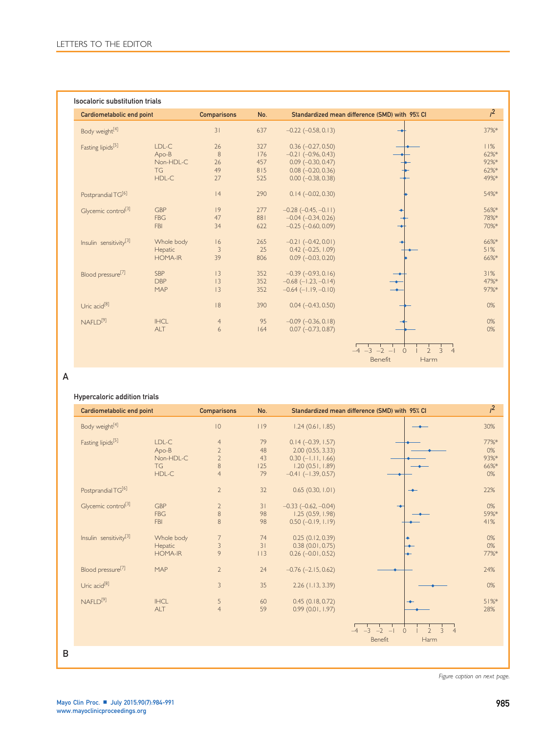<span id="page-1-0"></span>

| Cardiometabolic end point          |                | <b>Comparisons</b> | No. |                          | Standardized mean difference (SMD) with 95% CI                                      | $l^2$ |
|------------------------------------|----------------|--------------------|-----|--------------------------|-------------------------------------------------------------------------------------|-------|
| Body weight <sup>[4]</sup>         |                | 31                 | 637 | $-0.22$ $(-0.58, 0.13)$  |                                                                                     | 37%*  |
| Fasting lipids <sup>[5]</sup>      | LDL-C          | 26                 | 327 | $0.36 (-0.27, 0.50)$     |                                                                                     | 11%   |
|                                    | Apo-B          | 8                  | 176 | $-0.21 (-0.96, 0.43)$    |                                                                                     | 62%*  |
|                                    | Non-HDL-C      | 26                 | 457 | $0.09$ (-0.30, 0.47)     |                                                                                     | 92%*  |
|                                    | <b>TG</b>      | 49                 | 815 | $0.08 (-0.20, 0.36)$     |                                                                                     | 62%*  |
|                                    | HDL-C          | 27                 | 525 | $0.00 (-0.38, 0.38)$     |                                                                                     | 49%*  |
| Postprandial TG <sup>[6]</sup>     |                | 4                  | 290 | $0.14 (-0.02, 0.30)$     |                                                                                     | 54%*  |
| Glycemic control <sup>[3]</sup>    | <b>GBP</b>     | 9                  | 277 | $-0.28$ $(-0.45, -0.11)$ |                                                                                     | 56%*  |
|                                    | <b>FBG</b>     | 47                 | 881 | $-0.04 (-0.34, 0.26)$    |                                                                                     | 78%*  |
|                                    | <b>FBI</b>     | 34                 | 622 | $-0.25$ $(-0.60, 0.09)$  |                                                                                     | 70%*  |
| Insulin sensitivity <sup>[3]</sup> | Whole body     | 16                 | 265 | $-0.21 (-0.42, 0.01)$    |                                                                                     | 66%*  |
|                                    | Hepatic        | 3                  | 25  | $0.42 (-0.25, 1.09)$     |                                                                                     | 51%   |
|                                    | <b>HOMA-IR</b> | 39                 | 806 | $0.09$ ( $-0.03, 0.20$ ) |                                                                                     | 66%*  |
| Blood pressure <sup>[7]</sup>      | <b>SBP</b>     | 3                  | 352 | $-0.39$ $(-0.93, 0.16)$  |                                                                                     | 31%   |
|                                    | <b>DBP</b>     | 3                  | 352 | $-0.68$ $(-1.23, -0.14)$ |                                                                                     | 47%*  |
|                                    | MAP            | 3                  | 352 | $-0.64$ $(-1.19, -0.10)$ |                                                                                     | 97%*  |
| Uric acid <sup>[8]</sup>           |                | 8                  | 390 | $0.04 (-0.43, 0.50)$     |                                                                                     | 0%    |
| NAFLD <sup>[9]</sup>               | <b>IHCL</b>    | $\overline{4}$     | 95  | $-0.09$ $(-0.36, 0.18)$  |                                                                                     | 0%    |
|                                    | <b>ALT</b>     | 6                  | 164 | $0.07 (-0.73, 0.87)$     |                                                                                     | 0%    |
|                                    |                |                    |     |                          | $\mathcal{D}$<br>$\mathcal{R}$<br>$-4$ $-3$ $-2$ $-1$<br>$\Omega$<br>$\overline{4}$ |       |

A

## Hypercaloric addition trials

| Cardiometabolic end point          |                | <b>Comparisons</b> | No. | Standardized mean difference (SMD) with 95% CI |                                                             |      |
|------------------------------------|----------------|--------------------|-----|------------------------------------------------|-------------------------------------------------------------|------|
| Body weight <sup>[4]</sup>         |                | $ 0\rangle$        | 119 | 1.24(0.61, 1.85)                               |                                                             | 30%  |
| Fasting lipids <sup>[5]</sup>      | LDL-C          | $\overline{4}$     | 79  | $0.14 (-0.39, 1.57)$                           |                                                             | 77%* |
|                                    | Apo-B          | $\mathbf{2}$       | 48  | 2.00(0.55, 3.33)                               |                                                             | 0%   |
|                                    | Non-HDL-C      | $\mathbf{2}$       | 43  | $0.30$ (-1.11, 1.66)                           |                                                             | 93%* |
|                                    | <b>TG</b>      | $\,8\,$            | 125 | 1.20(0.51, 1.89)                               |                                                             | 66%* |
|                                    | HDL-C          | $\overline{4}$     | 79  | $-0.4$ $(-1.39, 0.57)$                         |                                                             | 0%   |
| Postprandial TG <sup>[6]</sup>     |                | $\overline{2}$     | 32  | 0.65(0.30, 1.01)                               |                                                             | 22%  |
| Glycemic control <sup>[3]</sup>    | <b>GBP</b>     | $\mathbf{2}$       | 31  | $-0.33$ $(-0.62, -0.04)$                       |                                                             | 0%   |
|                                    | <b>FBG</b>     | $\,8\,$            | 98  | 1.25(0.59, 1.98)                               |                                                             | 59%* |
|                                    | <b>FBI</b>     | 8                  | 98  | $0.50 (-0.19, 1.19)$                           |                                                             | 41%  |
| Insulin sensitivity <sup>[3]</sup> | Whole body     | $\overline{7}$     | 74  | 0.25(0.12, 0.39)                               |                                                             | 0%   |
|                                    | Hepatic        | $\mathsf 3$        | 31  | 0.38(0.01, 0.75)                               |                                                             | 0%   |
|                                    | <b>HOMA-IR</b> | 9                  | 113 | $0.26 (-0.01, 0.52)$                           |                                                             | 77%* |
| Blood pressure <sup>[7]</sup>      | MAP            | $\overline{2}$     | 24  | $-0.76$ $(-2.15, 0.62)$                        |                                                             | 24%  |
| Uric acid <sup>[8]</sup>           |                | $\overline{3}$     | 35  | $2.26$ (1.13, 3.39)                            |                                                             | 0%   |
| NAFLD <sup>[9]</sup>               | <b>IHCL</b>    | 5                  | 60  | 0.45(0.18, 0.72)                               |                                                             | 51%  |
|                                    | ALT            | $\overline{4}$     | 59  | 0.99(0.01, 1.97)                               |                                                             | 28%  |
|                                    |                |                    |     |                                                |                                                             |      |
|                                    |                |                    |     |                                                | $-4$ $-3$ $-2$ $-1$<br>$\Omega$<br>$\mathcal{D}$<br>Benefit |      |
|                                    |                |                    |     |                                                | Harm                                                        |      |
|                                    |                |                    |     |                                                |                                                             |      |

Figure caption on next page.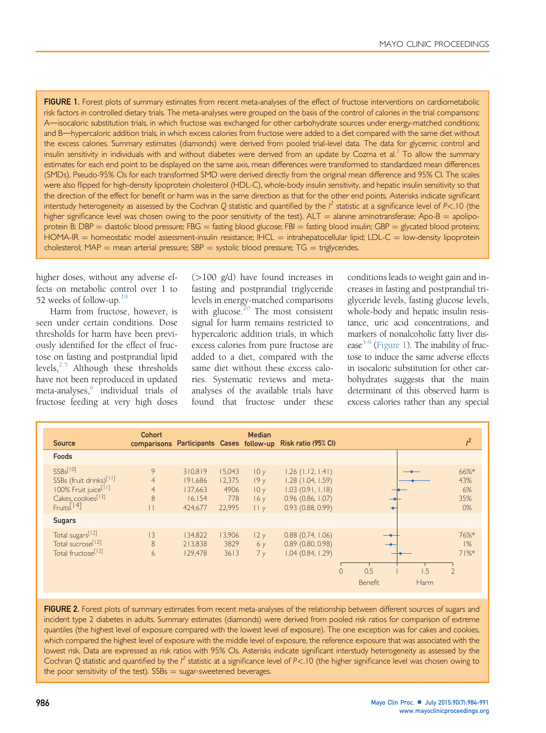<span id="page-2-0"></span>FIGURE 1. Forest plots of summary estimates from recent meta-analyses of the effect of fructose interventions on cardiometabolic risk factors in controlled dietary trials. The meta-analyses were grouped on the basis of the control of calories in the trial comparisons: A-isocaloric substitution trials, in which fructose was exchanged for other carbohydrate sources under energy-matched conditions; and B-hypercaloric addition trials, in which excess calories from fructose were added to a diet compared with the same diet without the excess calories. Summary estimates (diamonds) were derived from pooled trial-level data. The data for glycemic control and insulin sensitivity in individuals with and without diabetes were derived from an update by Cozma et al.<sup>[3](#page-3-0)</sup> To allow the summary estimates for each end point to be displayed on the same axis, mean differences were transformed to standardized mean differences (SMDs). Pseudo-95% CIs for each transformed SMD were derived directly from the original mean difference and 95% CI. The scales were also flipped for high-density lipoprotein cholesterol (HDL-C), whole-body insulin sensitivity, and hepatic insulin sensitivity so that the direction of the effect for benefit or harm was in the same direction as that for the other end points. Asterisks indicate significant interstudy heterogeneity as assessed by the Cochran Q statistic and quantified by the  $l^2$  statistic at a significance level of P<.10 (the higher significance level was chosen owing to the poor sensitivity of the test).  $ALT =$  alanine aminotransferase; Apo-B = apolipoprotein B; DBP = diastolic blood pressure; FBG = fasting blood glucose; FBI = fasting blood insulin; GBP = glycated blood proteins;  $HOMA-IR$  = homeostatic model assessment-insulin resistance;  $HCL$  = intrahepatocellular lipid;  $LDL-C$  = low-density lipoprotein cholesterol; MAP = mean arterial pressure; SBP = systolic blood pressure;  $TG =$  triglycerides.

higher doses, without any adverse effects on metabolic control over 1 to 52 weeks of follow-up.<sup>19</sup>

Harm from fructose, however, is seen under certain conditions. Dose thresholds for harm have been previously identified for the effect of fructose on fasting and postprandial lipid levels, $2,5$  Although these thresholds have not been reproduced in updated meta-analyses,<sup>[6](#page-3-0)</sup> individual trials of fructose feeding at very high doses  $(>100 \text{ g/d})$  have found increases in fasting and postprandial triglyceride levels in energy-matched comparisons with glucose.<sup>20</sup> The most consistent signal for harm remains restricted to hypercaloric addition trials, in which excess calories from pure fructose are added to a diet, compared with the same diet without these excess calories. Systematic reviews and metaanalyses of the available trials have found that fructose under these conditions leads to weight gain and increases in fasting and postprandial triglyceride levels, fasting glucose levels, whole-body and hepatic insulin resistance, uric acid concentrations, and markers of nonalcoholic fatty liver dis-ease<sup>3-9</sup> ([Figure 1](#page-1-0)). The inability of fructose to induce the same adverse effects in isocaloric substitution for other carbohydrates suggests that the main determinant of this observed harm is excess calories rather than any special

| <b>Source</b>                                                                                                                       | <b>Cohort</b>                              |                                                    |                                           | <b>Median</b>                   | comparisons Participants Cases follow-up Risk ratio (95% CI)                                           |                                                       | $l^2$                                         |
|-------------------------------------------------------------------------------------------------------------------------------------|--------------------------------------------|----------------------------------------------------|-------------------------------------------|---------------------------------|--------------------------------------------------------------------------------------------------------|-------------------------------------------------------|-----------------------------------------------|
| Foods                                                                                                                               |                                            |                                                    |                                           |                                 |                                                                                                        |                                                       |                                               |
| SSBs <sup>[10]</sup><br>SSBs (fruit drinks) <sup>[11]</sup><br>100% Fruit juice[11]<br>Cakes, cookies <sup>[13]</sup><br>Fruits[14] | 9<br>$\overline{4}$<br>$\overline{4}$<br>8 | 310,819<br>191,686<br>137.663<br>16.154<br>424.677 | 15,043<br>12,375<br>4906<br>778<br>22,995 | 10y<br>19y<br>10y<br>16y<br>11y | $1.26$ (1.12, 1.41)<br>$1.28$ (1.04, 1.59)<br>1.03(0.91, 1.18)<br>0.96(0.86, 1.07)<br>0.93(0.88, 0.99) |                                                       | 66%*<br>43%<br>6%<br>35%<br>0%                |
| <b>Sugars</b>                                                                                                                       |                                            |                                                    |                                           |                                 |                                                                                                        |                                                       |                                               |
| Total sugars <sup>[12]</sup><br>Total sucrose <sup>[12]</sup><br>Total fructose <sup>[12]</sup>                                     | 3<br>8<br>6                                | 134,822<br>213.838<br>129.478                      | 13,906<br>3829<br>3613                    | 12y<br>6 y<br>7y                | 0.88(0.74, 1.06)<br>0.89(0.80, 0.98)<br>1.04(0.84, 1.29)                                               | 0.5<br>$\Omega$<br>$\overline{.5}$<br>Benefit<br>Harm | 76%*<br>1%<br>71%<br>$\overline{\phantom{0}}$ |

FIGURE 2. Forest plots of summary estimates from recent meta-analyses of the relationship between different sources of sugars and incident type 2 diabetes in adults. Summary estimates (diamonds) were derived from pooled risk ratios for comparison of extreme quantiles (the highest level of exposure compared with the lowest level of exposure). The one exception was for cakes and cookies, which compared the highest level of exposure with the middle level of exposure, the reference exposure that was associated with the lowest risk. Data are expressed as risk ratios with 95% CIs. Asterisks indicate significant interstudy heterogeneity as assessed by the Cochran Q statistic and quantified by the  $l^2$  statistic at a significance level of  $P<10$  (the higher significance level was chosen owing to the poor sensitivity of the test).  $SSBs = sugar-sweetened$  beverages.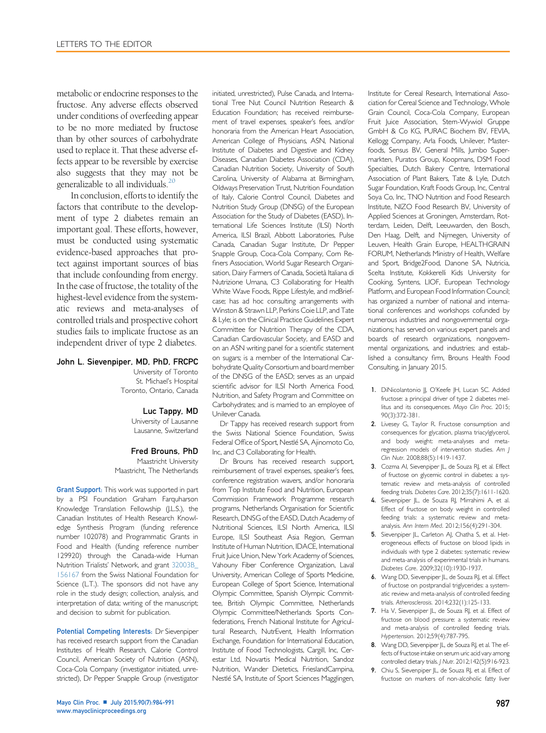<span id="page-3-0"></span>metabolic or endocrine responses to the fructose. Any adverse effects observed under conditions of overfeeding appear to be no more mediated by fructose than by other sources of carbohydrate used to replace it. That these adverse effects appear to be reversible by exercise also suggests that they may not be generalizable to all individuals.<sup>[20](#page-4-0)</sup>

In conclusion, efforts to identify the factors that contribute to the development of type 2 diabetes remain an important goal. These efforts, however, must be conducted using systematic evidence-based approaches that protect against important sources of bias that include confounding from energy. In the case of fructose, the totality of the highest-level evidence from the systematic reviews and meta-analyses of controlled trials and prospective cohort studies fails to implicate fructose as an independent driver of type 2 diabetes.

### John L. Sievenpiper, MD, PhD, FRCPC

University of Toronto St. Michael's Hospital Toronto, Ontario, Canada

#### Luc Tappy, MD

University of Lausanne Lausanne, Switzerland

#### Fred Brouns, PhD

Maastricht University Maastricht, The Netherlands

Grant Support: This work was supported in part by a PSI Foundation Graham Farquharson Knowledge Translation Fellowship (J.L.S.), the Canadian Institutes of Health Research Knowledge Synthesis Program (funding reference number 102078) and Programmatic Grants in Food and Health (funding reference number 129920) through the Canada-wide Human Nutrition Trialists' Network, and grant [32003B\\_](https://www.mysnf.ch/grants/grant.aspx?id=b54dca55-4e0f-4a3f-9833-a6ac5defb9f0) [156167](https://www.mysnf.ch/grants/grant.aspx?id=b54dca55-4e0f-4a3f-9833-a6ac5defb9f0) from the Swiss National Foundation for Science (L.T.). The sponsors did not have any role in the study design; collection, analysis, and interpretation of data; writing of the manuscript; and decision to submit for publication.

Potential Competing Interests: Dr Sievenpiper has received research support from the Canadian Institutes of Health Research, Calorie Control Council, American Society of Nutrition (ASN), Coca-Cola Company (investigator initiated, unrestricted), Dr Pepper Snapple Group (investigator initiated, unrestricted), Pulse Canada, and International Tree Nut Council Nutrition Research & Education Foundation; has received reimbursement of travel expenses, speaker's fees, and/or honoraria from the American Heart Association, American College of Physicians, ASN, National Institute of Diabetes and Digestive and Kidney Diseases, Canadian Diabetes Association (CDA), Canadian Nutrition Society, University of South Carolina, University of Alabama at Birmingham, Oldways Preservation Trust, Nutrition Foundation of Italy, Calorie Control Council, Diabetes and Nutrition Study Group (DNSG) of the European Association for the Study of Diabetes (EASD), International Life Sciences Institute (ILSI) North America, ILSI Brazil, Abbott Laboratories, Pulse Canada, Canadian Sugar Institute, Dr Pepper Snapple Group, Coca-Cola Company, Corn Refiners Association, World Sugar Research Organisation, Dairy Farmers of Canada, Società Italiana di Nutrizione Umana, C3 Collaborating for Health White Wave Foods, Rippe Lifestyle, and mdBriefcase; has ad hoc consulting arrangements with Winston & Strawn LLP, Perkins Coie LLP, and Tate & Lyle; is on the Clinical Practice Guidelines Expert Committee for Nutrition Therapy of the CDA, Canadian Cardiovascular Society, and EASD and on an ASN writing panel for a scientific statement on sugars; is a member of the International Carbohydrate Quality Consortium and board member of the DNSG of the EASD; serves as an unpaid scientific advisor for ILSI North America Food, Nutrition, and Safety Program and Committee on Carbohydrates; and is married to an employee of Unilever Canada.

Dr Tappy has received research support from the Swiss National Science Foundation, Swiss Federal Office of Sport, Nestlé SA, Ajinomoto Co, Inc, and C3 Collaborating for Health.

Dr Brouns has received research support, reimbursement of travel expenses, speaker's fees, conference registration wavers, and/or honoraria from Top Institute Food and Nutrition, European Commission Framework Programme research programs, Netherlands Organisation for Scientific Research, DNSG of the EASD, Dutch Academy of Nutritional Sciences, ILSI North America, ILSI Europe, ILSI Southeast Asia Region, German Institute of Human Nutrition, IDACE, International Fruit Juice Union, New York Academy of Sciences, Vahouny Fiber Conference Organization, Laval University, American College of Sports Medicine, European College of Sport Science, International Olympic Committee, Spanish Olympic Committee, British Olympic Committee, Netherlands Olympic Committee/Netherlands Sports Confederations, French National Institute for Agricultural Research, NutrEvent, Health Information Exchange, Foundation for International Education, Institute of Food Technologists, Cargill, Inc, Cerestar Ltd, Novartis Medical Nutrition, Sandoz Nutrition, Wander Dietetics, FrieslandCampina, Nestlé SA, Institute of Sport Sciences Magglingen,

Institute for Cereal Research, International Association for Cereal Science and Technology, Whole Grain Council, Coca-Cola Company, European Fruit Juice Association, Stern-Wywiol Gruppe GmbH & Co KG, PURAC Biochem BV, FEVIA, Kellogg Company, Arla Foods, Unilever, Masterfoods, Sensus BV, General Mills, Jumbo Supermarkten, Puratos Group, Koopmans, DSM Food Specialties, Dutch Bakery Centre, International Association of Plant Bakers, Tate & Lyle, Dutch Sugar Foundation, Kraft Foods Group, Inc, Central Soya Co, Inc, TNO Nutrition and Food Research Institute, NIZO Food Research BV, University of Applied Sciences at Groningen, Amsterdam, Rotterdam, Leiden, Delft, Leeuwarden, den Bosch, Den Haag, Delft, and Nijmegen, University of Leuven, Health Grain Europe, HEALTHGRAIN FORUM, Netherlands Ministry of Health, Welfare and Sport, Bridge2Food, Danone SA, Nutricia, Scelta Institute, Kokkerelli Kids University for Cooking, Syntens, LIOF, European Technology Platform, and European Food Information Council; has organized a number of national and international conferences and workshops cofunded by numerous industries and nongovernmental organizations; has served on various expert panels and boards of research organizations, nongovernmental organizations, and industries; and established a consultancy firm, Brouns Health Food Consulting, in January 2015.

- 1. DiNicolantonio JJ, O'Keefe JH, Lucan SC. Added fructose: a principal driver of type 2 diabetes mellitus and its consequences. Mayo Clin Proc. 2015; 90(3):372-381.
- 2. Livesey G, Taylor R. Fructose consumption and consequences for glycation, plasma triacylglycerol, and body weight: meta-analyses and metaregression models of intervention studies. Am J Clin Nutr. 2008;88(5):1419-1437.
- 3. Cozma AI, Sievenpiper JL, de Souza RJ, et al. Effect of fructose on glycemic control in diabetes: a systematic review and meta-analysis of controlled feeding trials. Diabetes Care. 2012;35(7):1611-1620.
- 4. Sievenpiper JL, de Souza RJ, Mirrahimi A, et al. Effect of fructose on body weight in controlled feeding trials: a systematic review and metaanalysis. Ann Intern Med. 2012;156(4):291-304.
- 5. Sievenpiper JL, Carleton AJ, Chatha S, et al. Heterogeneous effects of fructose on blood lipids in individuals with type 2 diabetes: systematic review and meta-analysis of experimental trials in humans. Diabetes Care. 2009;32(10):1930-1937.
- 6. Wang DD, Sievenpiper JL, de Souza RJ, et al. Effect of fructose on postprandial triglycerides: a systematic review and meta-analysis of controlled feeding trials. Atherosclerosis. 2014;232(1):125-133.
- 7. Ha V, Sievenpiper JL, de Souza RJ, et al. Effect of fructose on blood pressure: a systematic review and meta-analysis of controlled feeding trials. Hypertension. 2012;59(4):787-795.
- 8. Wang DD, Sievenpiper JL, de Souza RJ, et al. The effects of fructose intake on serum uric acid vary among controlled dietary trials. J Nutr. 2012;142(5):916-923.
- 9. Chiu S, Sievenpiper JL, de Souza RJ, et al. Effect of fructose on markers of non-alcoholic fatty liver